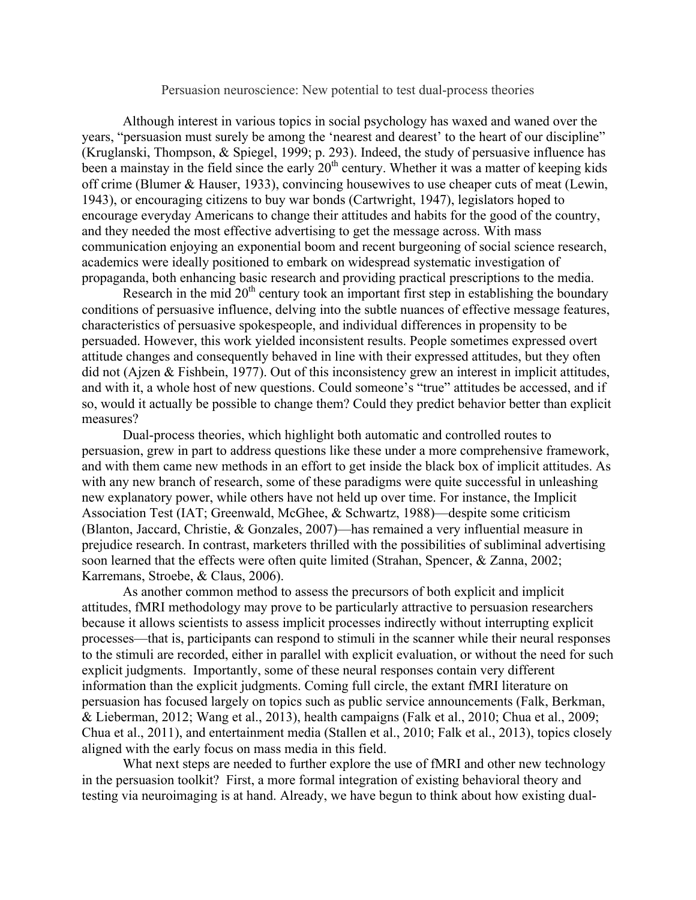## Persuasion neuroscience: New potential to test dual-process theories

Although interest in various topics in social psychology has waxed and waned over the years, "persuasion must surely be among the 'nearest and dearest' to the heart of our discipline" (Kruglanski, Thompson, & Spiegel, 1999; p. 293). Indeed, the study of persuasive influence has been a mainstay in the field since the early  $20<sup>th</sup>$  century. Whether it was a matter of keeping kids off crime (Blumer & Hauser, 1933), convincing housewives to use cheaper cuts of meat (Lewin, 1943), or encouraging citizens to buy war bonds (Cartwright, 1947), legislators hoped to encourage everyday Americans to change their attitudes and habits for the good of the country, and they needed the most effective advertising to get the message across. With mass communication enjoying an exponential boom and recent burgeoning of social science research, academics were ideally positioned to embark on widespread systematic investigation of propaganda, both enhancing basic research and providing practical prescriptions to the media.

Research in the mid  $20<sup>th</sup>$  century took an important first step in establishing the boundary conditions of persuasive influence, delving into the subtle nuances of effective message features, characteristics of persuasive spokespeople, and individual differences in propensity to be persuaded. However, this work yielded inconsistent results. People sometimes expressed overt attitude changes and consequently behaved in line with their expressed attitudes, but they often did not (Ajzen & Fishbein, 1977). Out of this inconsistency grew an interest in implicit attitudes, and with it, a whole host of new questions. Could someone's "true" attitudes be accessed, and if so, would it actually be possible to change them? Could they predict behavior better than explicit measures?

Dual-process theories, which highlight both automatic and controlled routes to persuasion, grew in part to address questions like these under a more comprehensive framework, and with them came new methods in an effort to get inside the black box of implicit attitudes. As with any new branch of research, some of these paradigms were quite successful in unleashing new explanatory power, while others have not held up over time. For instance, the Implicit Association Test (IAT; Greenwald, McGhee, & Schwartz, 1988)—despite some criticism (Blanton, Jaccard, Christie, & Gonzales, 2007)—has remained a very influential measure in prejudice research. In contrast, marketers thrilled with the possibilities of subliminal advertising soon learned that the effects were often quite limited (Strahan, Spencer, & Zanna, 2002; Karremans, Stroebe, & Claus, 2006).

As another common method to assess the precursors of both explicit and implicit attitudes, fMRI methodology may prove to be particularly attractive to persuasion researchers because it allows scientists to assess implicit processes indirectly without interrupting explicit processes—that is, participants can respond to stimuli in the scanner while their neural responses to the stimuli are recorded, either in parallel with explicit evaluation, or without the need for such explicit judgments. Importantly, some of these neural responses contain very different information than the explicit judgments. Coming full circle, the extant fMRI literature on persuasion has focused largely on topics such as public service announcements (Falk, Berkman, & Lieberman, 2012; Wang et al., 2013), health campaigns (Falk et al., 2010; Chua et al., 2009; Chua et al., 2011), and entertainment media (Stallen et al., 2010; Falk et al., 2013), topics closely aligned with the early focus on mass media in this field.

What next steps are needed to further explore the use of fMRI and other new technology in the persuasion toolkit? First, a more formal integration of existing behavioral theory and testing via neuroimaging is at hand. Already, we have begun to think about how existing dual-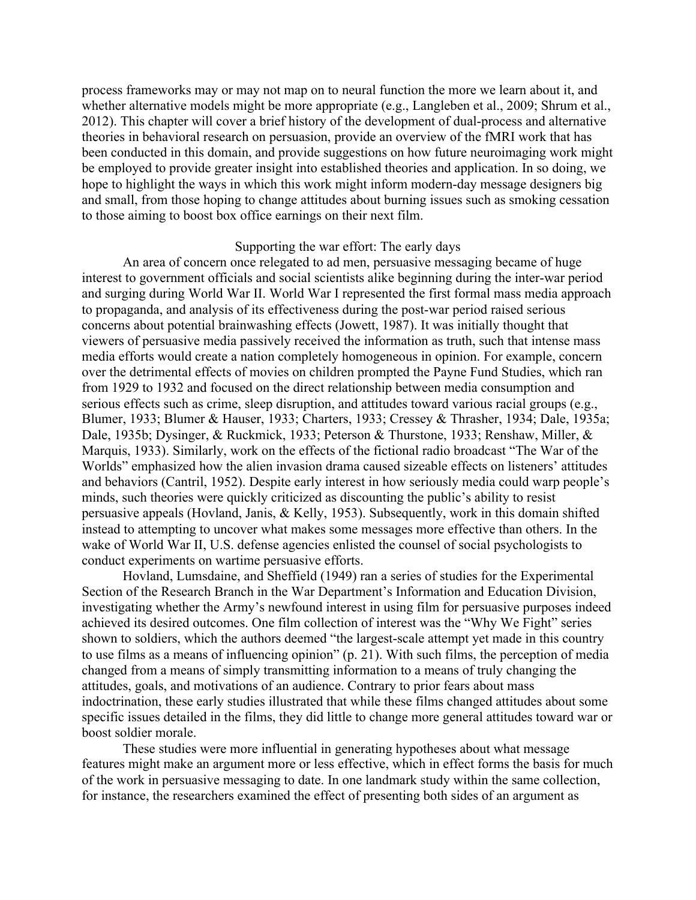process frameworks may or may not map on to neural function the more we learn about it, and whether alternative models might be more appropriate (e.g., Langleben et al., 2009; Shrum et al., 2012). This chapter will cover a brief history of the development of dual-process and alternative theories in behavioral research on persuasion, provide an overview of the fMRI work that has been conducted in this domain, and provide suggestions on how future neuroimaging work might be employed to provide greater insight into established theories and application. In so doing, we hope to highlight the ways in which this work might inform modern-day message designers big and small, from those hoping to change attitudes about burning issues such as smoking cessation to those aiming to boost box office earnings on their next film.

### Supporting the war effort: The early days

An area of concern once relegated to ad men, persuasive messaging became of huge interest to government officials and social scientists alike beginning during the inter-war period and surging during World War II. World War I represented the first formal mass media approach to propaganda, and analysis of its effectiveness during the post-war period raised serious concerns about potential brainwashing effects (Jowett, 1987). It was initially thought that viewers of persuasive media passively received the information as truth, such that intense mass media efforts would create a nation completely homogeneous in opinion. For example, concern over the detrimental effects of movies on children prompted the Payne Fund Studies, which ran from 1929 to 1932 and focused on the direct relationship between media consumption and serious effects such as crime, sleep disruption, and attitudes toward various racial groups (e.g., Blumer, 1933; Blumer & Hauser, 1933; Charters, 1933; Cressey & Thrasher, 1934; Dale, 1935a; Dale, 1935b; Dysinger, & Ruckmick, 1933; Peterson & Thurstone, 1933; Renshaw, Miller, & Marquis, 1933). Similarly, work on the effects of the fictional radio broadcast "The War of the Worlds" emphasized how the alien invasion drama caused sizeable effects on listeners' attitudes and behaviors (Cantril, 1952). Despite early interest in how seriously media could warp people's minds, such theories were quickly criticized as discounting the public's ability to resist persuasive appeals (Hovland, Janis, & Kelly, 1953). Subsequently, work in this domain shifted instead to attempting to uncover what makes some messages more effective than others. In the wake of World War II, U.S. defense agencies enlisted the counsel of social psychologists to conduct experiments on wartime persuasive efforts.

Hovland, Lumsdaine, and Sheffield (1949) ran a series of studies for the Experimental Section of the Research Branch in the War Department's Information and Education Division, investigating whether the Army's newfound interest in using film for persuasive purposes indeed achieved its desired outcomes. One film collection of interest was the "Why We Fight" series shown to soldiers, which the authors deemed "the largest-scale attempt yet made in this country to use films as a means of influencing opinion" (p. 21). With such films, the perception of media changed from a means of simply transmitting information to a means of truly changing the attitudes, goals, and motivations of an audience. Contrary to prior fears about mass indoctrination, these early studies illustrated that while these films changed attitudes about some specific issues detailed in the films, they did little to change more general attitudes toward war or boost soldier morale.

These studies were more influential in generating hypotheses about what message features might make an argument more or less effective, which in effect forms the basis for much of the work in persuasive messaging to date. In one landmark study within the same collection, for instance, the researchers examined the effect of presenting both sides of an argument as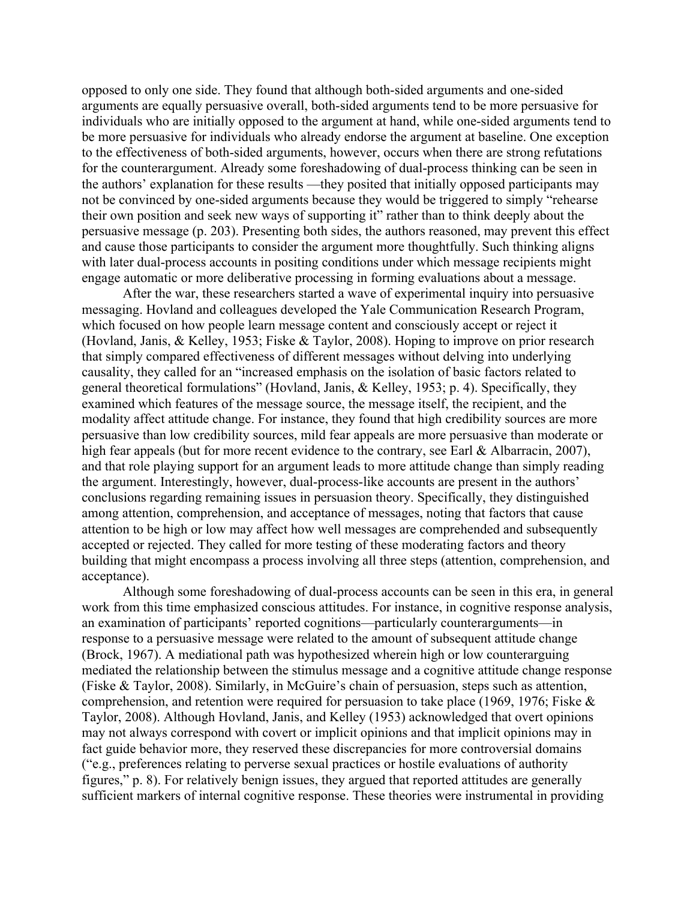opposed to only one side. They found that although both-sided arguments and one-sided arguments are equally persuasive overall, both-sided arguments tend to be more persuasive for individuals who are initially opposed to the argument at hand, while one-sided arguments tend to be more persuasive for individuals who already endorse the argument at baseline. One exception to the effectiveness of both-sided arguments, however, occurs when there are strong refutations for the counterargument. Already some foreshadowing of dual-process thinking can be seen in the authors' explanation for these results —they posited that initially opposed participants may not be convinced by one-sided arguments because they would be triggered to simply "rehearse their own position and seek new ways of supporting it" rather than to think deeply about the persuasive message (p. 203). Presenting both sides, the authors reasoned, may prevent this effect and cause those participants to consider the argument more thoughtfully. Such thinking aligns with later dual-process accounts in positing conditions under which message recipients might engage automatic or more deliberative processing in forming evaluations about a message.

After the war, these researchers started a wave of experimental inquiry into persuasive messaging. Hovland and colleagues developed the Yale Communication Research Program, which focused on how people learn message content and consciously accept or reject it (Hovland, Janis, & Kelley, 1953; Fiske & Taylor, 2008). Hoping to improve on prior research that simply compared effectiveness of different messages without delving into underlying causality, they called for an "increased emphasis on the isolation of basic factors related to general theoretical formulations" (Hovland, Janis, & Kelley, 1953; p. 4). Specifically, they examined which features of the message source, the message itself, the recipient, and the modality affect attitude change. For instance, they found that high credibility sources are more persuasive than low credibility sources, mild fear appeals are more persuasive than moderate or high fear appeals (but for more recent evidence to the contrary, see Earl & Albarracin, 2007), and that role playing support for an argument leads to more attitude change than simply reading the argument. Interestingly, however, dual-process-like accounts are present in the authors' conclusions regarding remaining issues in persuasion theory. Specifically, they distinguished among attention, comprehension, and acceptance of messages, noting that factors that cause attention to be high or low may affect how well messages are comprehended and subsequently accepted or rejected. They called for more testing of these moderating factors and theory building that might encompass a process involving all three steps (attention, comprehension, and acceptance).

Although some foreshadowing of dual-process accounts can be seen in this era, in general work from this time emphasized conscious attitudes. For instance, in cognitive response analysis, an examination of participants' reported cognitions—particularly counterarguments—in response to a persuasive message were related to the amount of subsequent attitude change (Brock, 1967). A mediational path was hypothesized wherein high or low counterarguing mediated the relationship between the stimulus message and a cognitive attitude change response (Fiske & Taylor, 2008). Similarly, in McGuire's chain of persuasion, steps such as attention, comprehension, and retention were required for persuasion to take place (1969, 1976; Fiske & Taylor, 2008). Although Hovland, Janis, and Kelley (1953) acknowledged that overt opinions may not always correspond with covert or implicit opinions and that implicit opinions may in fact guide behavior more, they reserved these discrepancies for more controversial domains ("e.g., preferences relating to perverse sexual practices or hostile evaluations of authority figures," p. 8). For relatively benign issues, they argued that reported attitudes are generally sufficient markers of internal cognitive response. These theories were instrumental in providing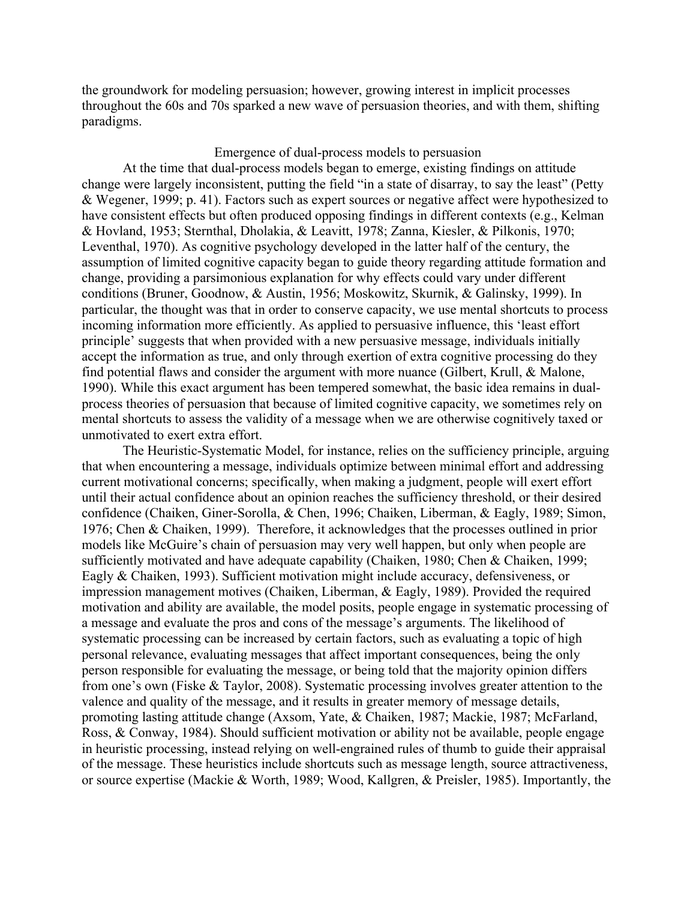the groundwork for modeling persuasion; however, growing interest in implicit processes throughout the 60s and 70s sparked a new wave of persuasion theories, and with them, shifting paradigms.

## Emergence of dual-process models to persuasion

At the time that dual-process models began to emerge, existing findings on attitude change were largely inconsistent, putting the field "in a state of disarray, to say the least" (Petty & Wegener, 1999; p. 41). Factors such as expert sources or negative affect were hypothesized to have consistent effects but often produced opposing findings in different contexts (e.g., Kelman & Hovland, 1953; Sternthal, Dholakia, & Leavitt, 1978; Zanna, Kiesler, & Pilkonis, 1970; Leventhal, 1970). As cognitive psychology developed in the latter half of the century, the assumption of limited cognitive capacity began to guide theory regarding attitude formation and change, providing a parsimonious explanation for why effects could vary under different conditions (Bruner, Goodnow, & Austin, 1956; Moskowitz, Skurnik, & Galinsky, 1999). In particular, the thought was that in order to conserve capacity, we use mental shortcuts to process incoming information more efficiently. As applied to persuasive influence, this 'least effort principle' suggests that when provided with a new persuasive message, individuals initially accept the information as true, and only through exertion of extra cognitive processing do they find potential flaws and consider the argument with more nuance (Gilbert, Krull, & Malone, 1990). While this exact argument has been tempered somewhat, the basic idea remains in dualprocess theories of persuasion that because of limited cognitive capacity, we sometimes rely on mental shortcuts to assess the validity of a message when we are otherwise cognitively taxed or unmotivated to exert extra effort.

The Heuristic-Systematic Model, for instance, relies on the sufficiency principle, arguing that when encountering a message, individuals optimize between minimal effort and addressing current motivational concerns; specifically, when making a judgment, people will exert effort until their actual confidence about an opinion reaches the sufficiency threshold, or their desired confidence (Chaiken, Giner-Sorolla, & Chen, 1996; Chaiken, Liberman, & Eagly, 1989; Simon, 1976; Chen & Chaiken, 1999). Therefore, it acknowledges that the processes outlined in prior models like McGuire's chain of persuasion may very well happen, but only when people are sufficiently motivated and have adequate capability (Chaiken, 1980; Chen & Chaiken, 1999; Eagly & Chaiken, 1993). Sufficient motivation might include accuracy, defensiveness, or impression management motives (Chaiken, Liberman, & Eagly, 1989). Provided the required motivation and ability are available, the model posits, people engage in systematic processing of a message and evaluate the pros and cons of the message's arguments. The likelihood of systematic processing can be increased by certain factors, such as evaluating a topic of high personal relevance, evaluating messages that affect important consequences, being the only person responsible for evaluating the message, or being told that the majority opinion differs from one's own (Fiske & Taylor, 2008). Systematic processing involves greater attention to the valence and quality of the message, and it results in greater memory of message details, promoting lasting attitude change (Axsom, Yate, & Chaiken, 1987; Mackie, 1987; McFarland, Ross, & Conway, 1984). Should sufficient motivation or ability not be available, people engage in heuristic processing, instead relying on well-engrained rules of thumb to guide their appraisal of the message. These heuristics include shortcuts such as message length, source attractiveness, or source expertise (Mackie & Worth, 1989; Wood, Kallgren, & Preisler, 1985). Importantly, the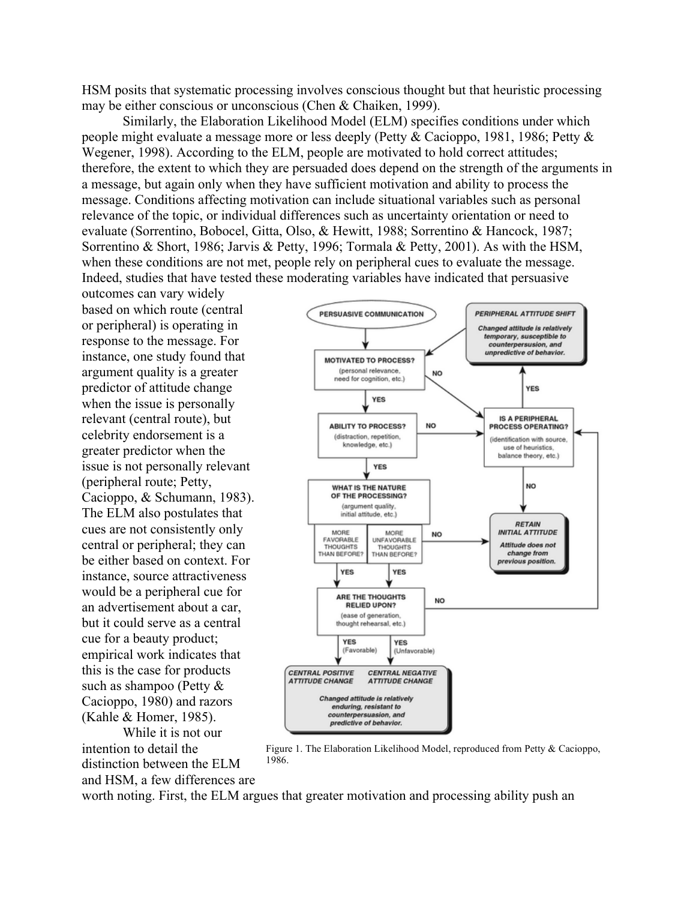HSM posits that systematic processing involves conscious thought but that heuristic processing may be either conscious or unconscious (Chen & Chaiken, 1999).

Similarly, the Elaboration Likelihood Model (ELM) specifies conditions under which people might evaluate a message more or less deeply (Petty & Cacioppo, 1981, 1986; Petty & Wegener, 1998). According to the ELM, people are motivated to hold correct attitudes; therefore, the extent to which they are persuaded does depend on the strength of the arguments in a message, but again only when they have sufficient motivation and ability to process the message. Conditions affecting motivation can include situational variables such as personal relevance of the topic, or individual differences such as uncertainty orientation or need to evaluate (Sorrentino, Bobocel, Gitta, Olso, & Hewitt, 1988; Sorrentino & Hancock, 1987; Sorrentino & Short, 1986; Jarvis & Petty, 1996; Tormala & Petty, 2001). As with the HSM, when these conditions are not met, people rely on peripheral cues to evaluate the message. Indeed, studies that have tested these moderating variables have indicated that persuasive

outcomes can vary widely based on which route (central or peripheral) is operating in response to the message. For instance, one study found that argument quality is a greater predictor of attitude change when the issue is personally relevant (central route), but celebrity endorsement is a greater predictor when the issue is not personally relevant (peripheral route; Petty, Cacioppo, & Schumann, 1983). The ELM also postulates that cues are not consistently only central or peripheral; they can be either based on context. For instance, source attractiveness would be a peripheral cue for an advertisement about a car, but it could serve as a central cue for a beauty product; empirical work indicates that this is the case for products such as shampoo (Petty & Cacioppo, 1980) and razors (Kahle & Homer, 1985).

While it is not our intention to detail the distinction between the ELM and HSM, a few differences are



Figure 1. The Elaboration Likelihood Model, reproduced from Petty & Cacioppo, 1986.

worth noting. First, the ELM argues that greater motivation and processing ability push an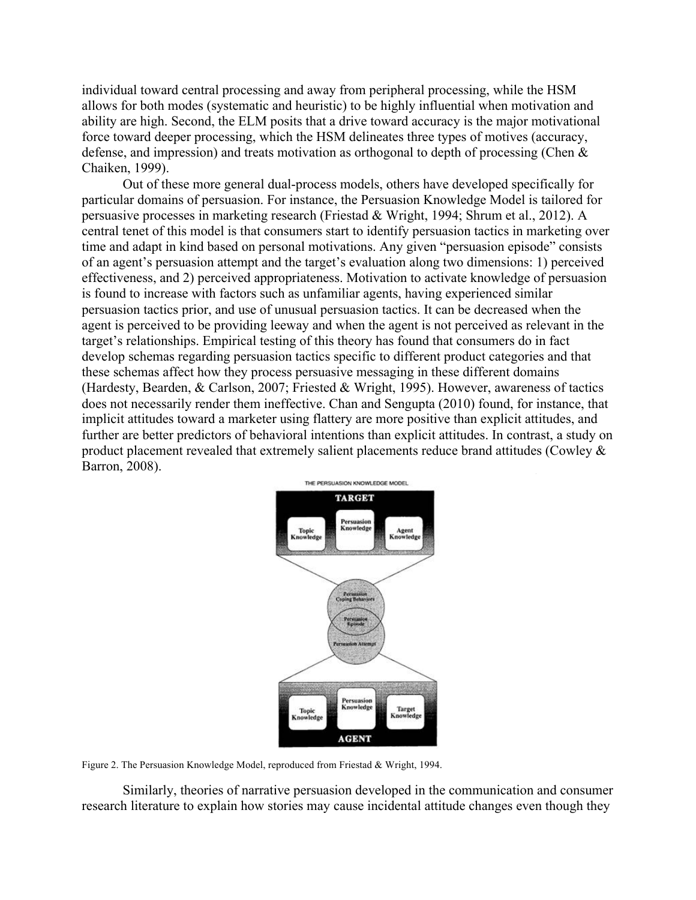individual toward central processing and away from peripheral processing, while the HSM allows for both modes (systematic and heuristic) to be highly influential when motivation and ability are high. Second, the ELM posits that a drive toward accuracy is the major motivational force toward deeper processing, which the HSM delineates three types of motives (accuracy, defense, and impression) and treats motivation as orthogonal to depth of processing (Chen & Chaiken, 1999).

Out of these more general dual-process models, others have developed specifically for particular domains of persuasion. For instance, the Persuasion Knowledge Model is tailored for persuasive processes in marketing research (Friestad & Wright, 1994; Shrum et al., 2012). A central tenet of this model is that consumers start to identify persuasion tactics in marketing over time and adapt in kind based on personal motivations. Any given "persuasion episode" consists of an agent's persuasion attempt and the target's evaluation along two dimensions: 1) perceived effectiveness, and 2) perceived appropriateness. Motivation to activate knowledge of persuasion is found to increase with factors such as unfamiliar agents, having experienced similar persuasion tactics prior, and use of unusual persuasion tactics. It can be decreased when the agent is perceived to be providing leeway and when the agent is not perceived as relevant in the target's relationships. Empirical testing of this theory has found that consumers do in fact develop schemas regarding persuasion tactics specific to different product categories and that these schemas affect how they process persuasive messaging in these different domains (Hardesty, Bearden, & Carlson, 2007; Friested & Wright, 1995). However, awareness of tactics does not necessarily render them ineffective. Chan and Sengupta (2010) found, for instance, that implicit attitudes toward a marketer using flattery are more positive than explicit attitudes, and further are better predictors of behavioral intentions than explicit attitudes. In contrast, a study on product placement revealed that extremely salient placements reduce brand attitudes (Cowley & Barron, 2008). 40



Figure 2. The Persuasion Knowledge Model, reproduced from Friestad & Wright, 1994.

Similarly, theories of narrative persuasion developed in the communication and consumer research literature to explain how stories may cause incidental attitude changes even though they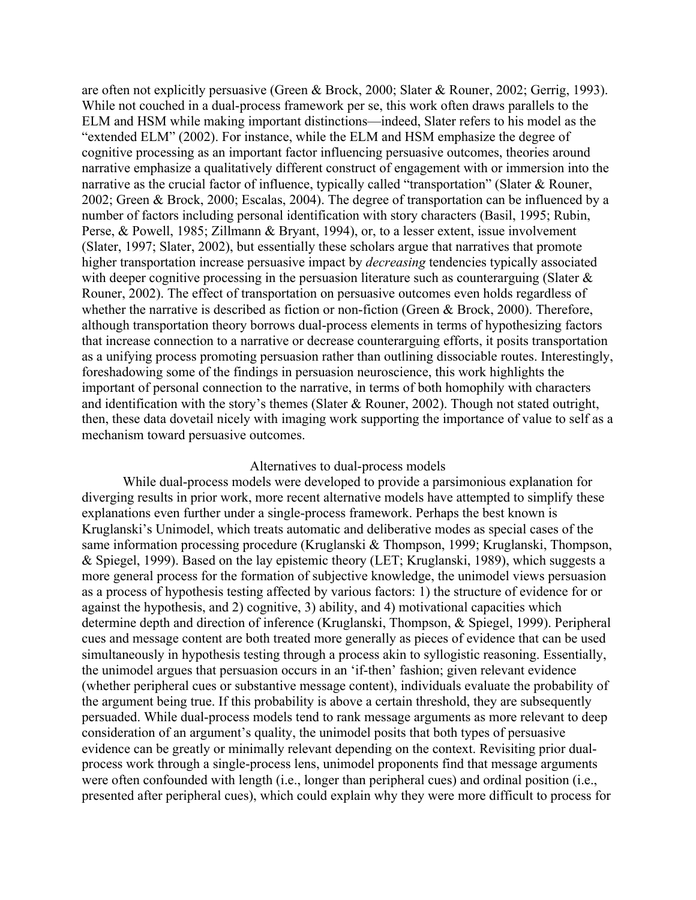are often not explicitly persuasive (Green & Brock, 2000; Slater & Rouner, 2002; Gerrig, 1993). While not couched in a dual-process framework per se, this work often draws parallels to the ELM and HSM while making important distinctions—indeed, Slater refers to his model as the "extended ELM" (2002). For instance, while the ELM and HSM emphasize the degree of cognitive processing as an important factor influencing persuasive outcomes, theories around narrative emphasize a qualitatively different construct of engagement with or immersion into the narrative as the crucial factor of influence, typically called "transportation" (Slater & Rouner, 2002; Green & Brock, 2000; Escalas, 2004). The degree of transportation can be influenced by a number of factors including personal identification with story characters (Basil, 1995; Rubin, Perse, & Powell, 1985; Zillmann & Bryant, 1994), or, to a lesser extent, issue involvement (Slater, 1997; Slater, 2002), but essentially these scholars argue that narratives that promote higher transportation increase persuasive impact by *decreasing* tendencies typically associated with deeper cognitive processing in the persuasion literature such as counterarguing (Slater  $\&$ Rouner, 2002). The effect of transportation on persuasive outcomes even holds regardless of whether the narrative is described as fiction or non-fiction (Green & Brock, 2000). Therefore, although transportation theory borrows dual-process elements in terms of hypothesizing factors that increase connection to a narrative or decrease counterarguing efforts, it posits transportation as a unifying process promoting persuasion rather than outlining dissociable routes. Interestingly, foreshadowing some of the findings in persuasion neuroscience, this work highlights the important of personal connection to the narrative, in terms of both homophily with characters and identification with the story's themes (Slater & Rouner, 2002). Though not stated outright, then, these data dovetail nicely with imaging work supporting the importance of value to self as a mechanism toward persuasive outcomes.

## Alternatives to dual-process models

While dual-process models were developed to provide a parsimonious explanation for diverging results in prior work, more recent alternative models have attempted to simplify these explanations even further under a single-process framework. Perhaps the best known is Kruglanski's Unimodel, which treats automatic and deliberative modes as special cases of the same information processing procedure (Kruglanski & Thompson, 1999; Kruglanski, Thompson, & Spiegel, 1999). Based on the lay epistemic theory (LET; Kruglanski, 1989), which suggests a more general process for the formation of subjective knowledge, the unimodel views persuasion as a process of hypothesis testing affected by various factors: 1) the structure of evidence for or against the hypothesis, and 2) cognitive, 3) ability, and 4) motivational capacities which determine depth and direction of inference (Kruglanski, Thompson, & Spiegel, 1999). Peripheral cues and message content are both treated more generally as pieces of evidence that can be used simultaneously in hypothesis testing through a process akin to syllogistic reasoning. Essentially, the unimodel argues that persuasion occurs in an 'if-then' fashion; given relevant evidence (whether peripheral cues or substantive message content), individuals evaluate the probability of the argument being true. If this probability is above a certain threshold, they are subsequently persuaded. While dual-process models tend to rank message arguments as more relevant to deep consideration of an argument's quality, the unimodel posits that both types of persuasive evidence can be greatly or minimally relevant depending on the context. Revisiting prior dualprocess work through a single-process lens, unimodel proponents find that message arguments were often confounded with length (i.e., longer than peripheral cues) and ordinal position (i.e., presented after peripheral cues), which could explain why they were more difficult to process for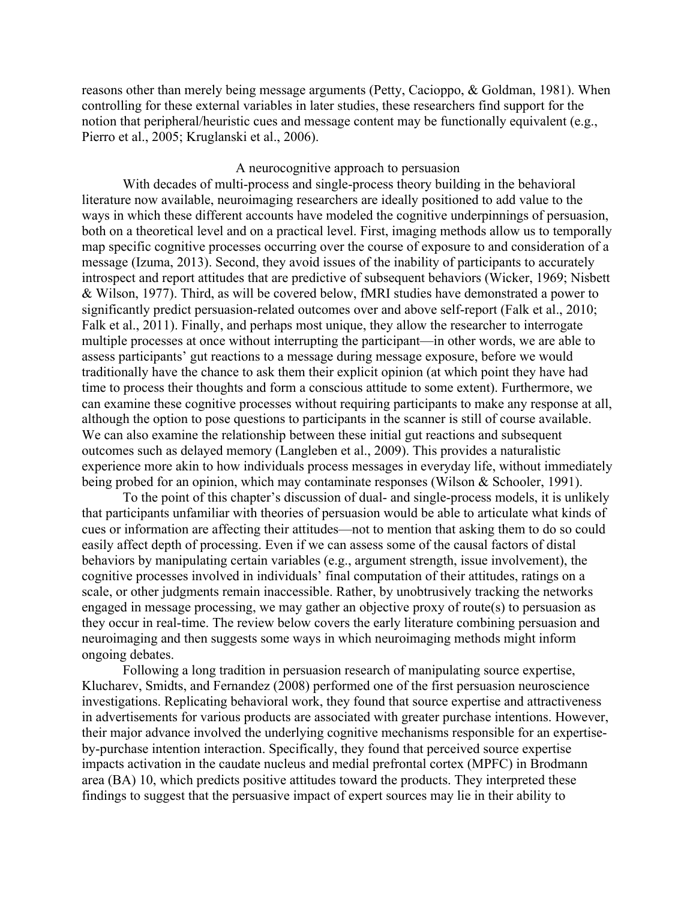reasons other than merely being message arguments (Petty, Cacioppo, & Goldman, 1981). When controlling for these external variables in later studies, these researchers find support for the notion that peripheral/heuristic cues and message content may be functionally equivalent (e.g., Pierro et al., 2005; Kruglanski et al., 2006).

## A neurocognitive approach to persuasion

With decades of multi-process and single-process theory building in the behavioral literature now available, neuroimaging researchers are ideally positioned to add value to the ways in which these different accounts have modeled the cognitive underpinnings of persuasion, both on a theoretical level and on a practical level. First, imaging methods allow us to temporally map specific cognitive processes occurring over the course of exposure to and consideration of a message (Izuma, 2013). Second, they avoid issues of the inability of participants to accurately introspect and report attitudes that are predictive of subsequent behaviors (Wicker, 1969; Nisbett & Wilson, 1977). Third, as will be covered below, fMRI studies have demonstrated a power to significantly predict persuasion-related outcomes over and above self-report (Falk et al., 2010; Falk et al., 2011). Finally, and perhaps most unique, they allow the researcher to interrogate multiple processes at once without interrupting the participant—in other words, we are able to assess participants' gut reactions to a message during message exposure, before we would traditionally have the chance to ask them their explicit opinion (at which point they have had time to process their thoughts and form a conscious attitude to some extent). Furthermore, we can examine these cognitive processes without requiring participants to make any response at all, although the option to pose questions to participants in the scanner is still of course available. We can also examine the relationship between these initial gut reactions and subsequent outcomes such as delayed memory (Langleben et al., 2009). This provides a naturalistic experience more akin to how individuals process messages in everyday life, without immediately being probed for an opinion, which may contaminate responses (Wilson & Schooler, 1991).

To the point of this chapter's discussion of dual- and single-process models, it is unlikely that participants unfamiliar with theories of persuasion would be able to articulate what kinds of cues or information are affecting their attitudes—not to mention that asking them to do so could easily affect depth of processing. Even if we can assess some of the causal factors of distal behaviors by manipulating certain variables (e.g., argument strength, issue involvement), the cognitive processes involved in individuals' final computation of their attitudes, ratings on a scale, or other judgments remain inaccessible. Rather, by unobtrusively tracking the networks engaged in message processing, we may gather an objective proxy of route(s) to persuasion as they occur in real-time. The review below covers the early literature combining persuasion and neuroimaging and then suggests some ways in which neuroimaging methods might inform ongoing debates.

Following a long tradition in persuasion research of manipulating source expertise, Klucharev, Smidts, and Fernandez (2008) performed one of the first persuasion neuroscience investigations. Replicating behavioral work, they found that source expertise and attractiveness in advertisements for various products are associated with greater purchase intentions. However, their major advance involved the underlying cognitive mechanisms responsible for an expertiseby-purchase intention interaction. Specifically, they found that perceived source expertise impacts activation in the caudate nucleus and medial prefrontal cortex (MPFC) in Brodmann area (BA) 10, which predicts positive attitudes toward the products. They interpreted these findings to suggest that the persuasive impact of expert sources may lie in their ability to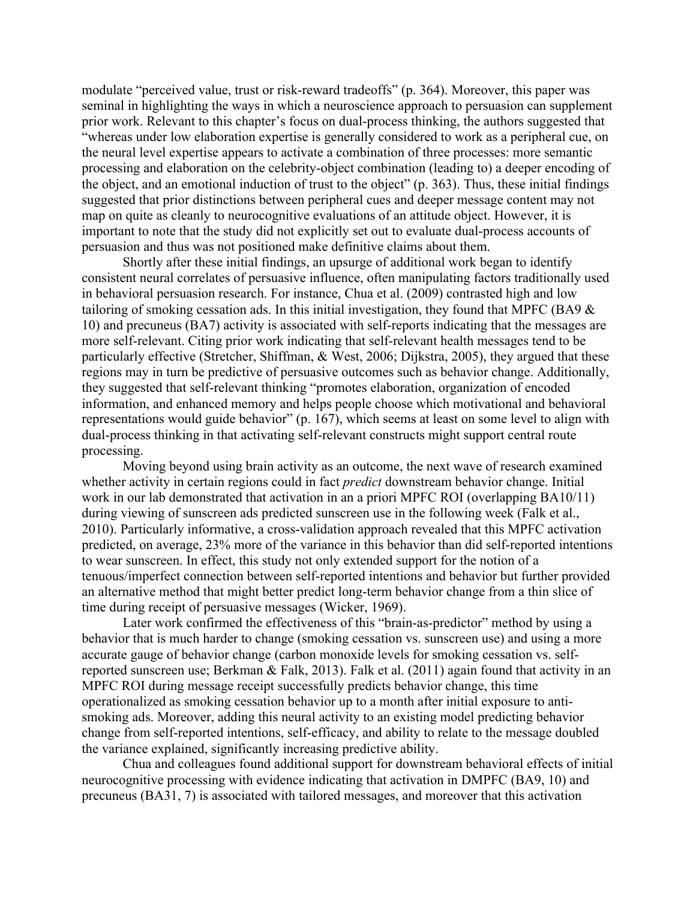modulate "perceived value, trust or risk-reward tradeoffs" (p. 364). Moreover, this paper was seminal in highlighting the ways in which a neuroscience approach to persuasion can supplement prior work. Relevant to this chapter's focus on dual-process thinking, the authors suggested that "whereas under low elaboration expertise is generally considered to work as a peripheral cue, on the neural level expertise appears to activate a combination of three processes: more semantic processing and elaboration on the celebrity-object combination (leading to) a deeper encoding of the object, and an emotional induction of trust to the object" (p. 363). Thus, these initial findings suggested that prior distinctions between peripheral cues and deeper message content may not map on quite as cleanly to neurocognitive evaluations of an attitude object. However, it is important to note that the study did not explicitly set out to evaluate dual-process accounts of persuasion and thus was not positioned make definitive claims about them.

Shortly after these initial findings, an upsurge of additional work began to identify consistent neural correlates of persuasive influence, often manipulating factors traditionally used in behavioral persuasion research. For instance, Chua et al. (2009) contrasted high and low tailoring of smoking cessation ads. In this initial investigation, they found that MPFC (BA9  $\&$ 10) and precuneus (BA7) activity is associated with self-reports indicating that the messages are more self-relevant. Citing prior work indicating that self-relevant health messages tend to be particularly effective (Stretcher, Shiffman, & West, 2006; Dijkstra, 2005), they argued that these regions may in turn be predictive of persuasive outcomes such as behavior change. Additionally, they suggested that self-relevant thinking "promotes elaboration, organization of encoded information, and enhanced memory and helps people choose which motivational and behavioral representations would guide behavior" (p. 167), which seems at least on some level to align with dual-process thinking in that activating self-relevant constructs might support central route processing.

Moving beyond using brain activity as an outcome, the next wave of research examined whether activity in certain regions could in fact *predict* downstream behavior change. Initial work in our lab demonstrated that activation in an a priori MPFC ROI (overlapping BA10/11) during viewing of sunscreen ads predicted sunscreen use in the following week (Falk et al., 2010). Particularly informative, a cross-validation approach revealed that this MPFC activation predicted, on average, 23% more of the variance in this behavior than did self-reported intentions to wear sunscreen. In effect, this study not only extended support for the notion of a tenuous/imperfect connection between self-reported intentions and behavior but further provided an alternative method that might better predict long-term behavior change from a thin slice of time during receipt of persuasive messages (Wicker, 1969).

Later work confirmed the effectiveness of this "brain-as-predictor" method by using a behavior that is much harder to change (smoking cessation vs. sunscreen use) and using a more accurate gauge of behavior change (carbon monoxide levels for smoking cessation vs. selfreported sunscreen use; Berkman & Falk, 2013). Falk et al. (2011) again found that activity in an MPFC ROI during message receipt successfully predicts behavior change, this time operationalized as smoking cessation behavior up to a month after initial exposure to antismoking ads. Moreover, adding this neural activity to an existing model predicting behavior change from self-reported intentions, self-efficacy, and ability to relate to the message doubled the variance explained, significantly increasing predictive ability.

Chua and colleagues found additional support for downstream behavioral effects of initial neurocognitive processing with evidence indicating that activation in DMPFC (BA9, 10) and precuneus (BA31, 7) is associated with tailored messages, and moreover that this activation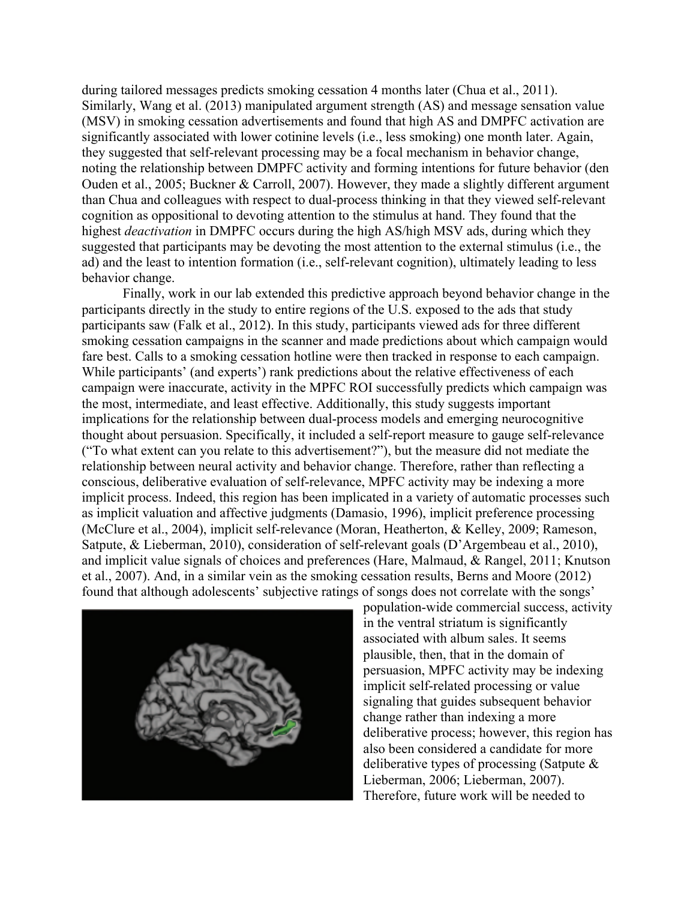during tailored messages predicts smoking cessation 4 months later (Chua et al., 2011). Similarly, Wang et al. (2013) manipulated argument strength (AS) and message sensation value (MSV) in smoking cessation advertisements and found that high AS and DMPFC activation are significantly associated with lower cotinine levels (i.e., less smoking) one month later. Again, they suggested that self-relevant processing may be a focal mechanism in behavior change, noting the relationship between DMPFC activity and forming intentions for future behavior (den Ouden et al., 2005; Buckner & Carroll, 2007). However, they made a slightly different argument than Chua and colleagues with respect to dual-process thinking in that they viewed self-relevant cognition as oppositional to devoting attention to the stimulus at hand. They found that the highest *deactivation* in DMPFC occurs during the high AS/high MSV ads, during which they suggested that participants may be devoting the most attention to the external stimulus (i.e., the ad) and the least to intention formation (i.e., self-relevant cognition), ultimately leading to less behavior change.

Finally, work in our lab extended this predictive approach beyond behavior change in the participants directly in the study to entire regions of the U.S. exposed to the ads that study participants saw (Falk et al., 2012). In this study, participants viewed ads for three different smoking cessation campaigns in the scanner and made predictions about which campaign would fare best. Calls to a smoking cessation hotline were then tracked in response to each campaign. While participants' (and experts') rank predictions about the relative effectiveness of each campaign were inaccurate, activity in the MPFC ROI successfully predicts which campaign was the most, intermediate, and least effective. Additionally, this study suggests important implications for the relationship between dual-process models and emerging neurocognitive thought about persuasion. Specifically, it included a self-report measure to gauge self-relevance ("To what extent can you relate to this advertisement?"), but the measure did not mediate the relationship between neural activity and behavior change. Therefore, rather than reflecting a conscious, deliberative evaluation of self-relevance, MPFC activity may be indexing a more implicit process. Indeed, this region has been implicated in a variety of automatic processes such as implicit valuation and affective judgments (Damasio, 1996), implicit preference processing (McClure et al., 2004), implicit self-relevance (Moran, Heatherton, & Kelley, 2009; Rameson, Satpute, & Lieberman, 2010), consideration of self-relevant goals (D'Argembeau et al., 2010), and implicit value signals of choices and preferences (Hare, Malmaud, & Rangel, 2011; Knutson et al., 2007). And, in a similar vein as the smoking cessation results, Berns and Moore (2012) found that although adolescents' subjective ratings of songs does not correlate with the songs'



population-wide commercial success, activity in the ventral striatum is significantly associated with album sales. It seems plausible, then, that in the domain of persuasion, MPFC activity may be indexing implicit self-related processing or value signaling that guides subsequent behavior change rather than indexing a more deliberative process; however, this region has also been considered a candidate for more deliberative types of processing (Satpute & Lieberman, 2006; Lieberman, 2007). Therefore, future work will be needed to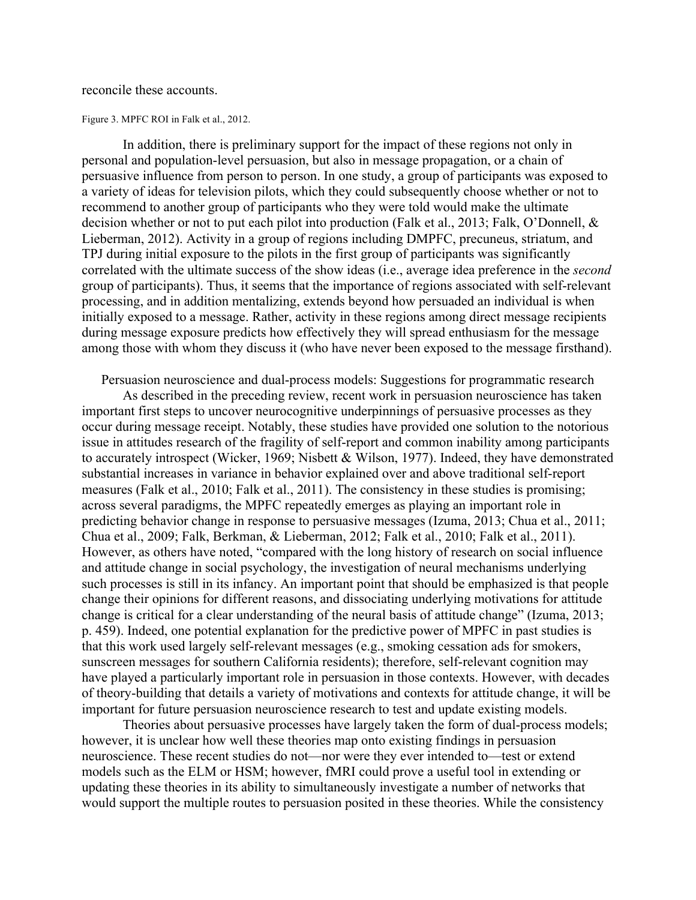## reconcile these accounts.

#### Figure 3. MPFC ROI in Falk et al., 2012.

In addition, there is preliminary support for the impact of these regions not only in personal and population-level persuasion, but also in message propagation, or a chain of persuasive influence from person to person. In one study, a group of participants was exposed to a variety of ideas for television pilots, which they could subsequently choose whether or not to recommend to another group of participants who they were told would make the ultimate decision whether or not to put each pilot into production (Falk et al., 2013; Falk, O'Donnell, & Lieberman, 2012). Activity in a group of regions including DMPFC, precuneus, striatum, and TPJ during initial exposure to the pilots in the first group of participants was significantly correlated with the ultimate success of the show ideas (i.e., average idea preference in the *second* group of participants). Thus, it seems that the importance of regions associated with self-relevant processing, and in addition mentalizing, extends beyond how persuaded an individual is when initially exposed to a message. Rather, activity in these regions among direct message recipients during message exposure predicts how effectively they will spread enthusiasm for the message among those with whom they discuss it (who have never been exposed to the message firsthand).

Persuasion neuroscience and dual-process models: Suggestions for programmatic research As described in the preceding review, recent work in persuasion neuroscience has taken important first steps to uncover neurocognitive underpinnings of persuasive processes as they occur during message receipt. Notably, these studies have provided one solution to the notorious issue in attitudes research of the fragility of self-report and common inability among participants to accurately introspect (Wicker, 1969; Nisbett & Wilson, 1977). Indeed, they have demonstrated substantial increases in variance in behavior explained over and above traditional self-report measures (Falk et al., 2010; Falk et al., 2011). The consistency in these studies is promising; across several paradigms, the MPFC repeatedly emerges as playing an important role in predicting behavior change in response to persuasive messages (Izuma, 2013; Chua et al., 2011; Chua et al., 2009; Falk, Berkman, & Lieberman, 2012; Falk et al., 2010; Falk et al., 2011). However, as others have noted, "compared with the long history of research on social influence and attitude change in social psychology, the investigation of neural mechanisms underlying such processes is still in its infancy. An important point that should be emphasized is that people change their opinions for different reasons, and dissociating underlying motivations for attitude change is critical for a clear understanding of the neural basis of attitude change" (Izuma, 2013; p. 459). Indeed, one potential explanation for the predictive power of MPFC in past studies is that this work used largely self-relevant messages (e.g., smoking cessation ads for smokers, sunscreen messages for southern California residents); therefore, self-relevant cognition may have played a particularly important role in persuasion in those contexts. However, with decades of theory-building that details a variety of motivations and contexts for attitude change, it will be important for future persuasion neuroscience research to test and update existing models.

Theories about persuasive processes have largely taken the form of dual-process models; however, it is unclear how well these theories map onto existing findings in persuasion neuroscience. These recent studies do not—nor were they ever intended to—test or extend models such as the ELM or HSM; however, fMRI could prove a useful tool in extending or updating these theories in its ability to simultaneously investigate a number of networks that would support the multiple routes to persuasion posited in these theories. While the consistency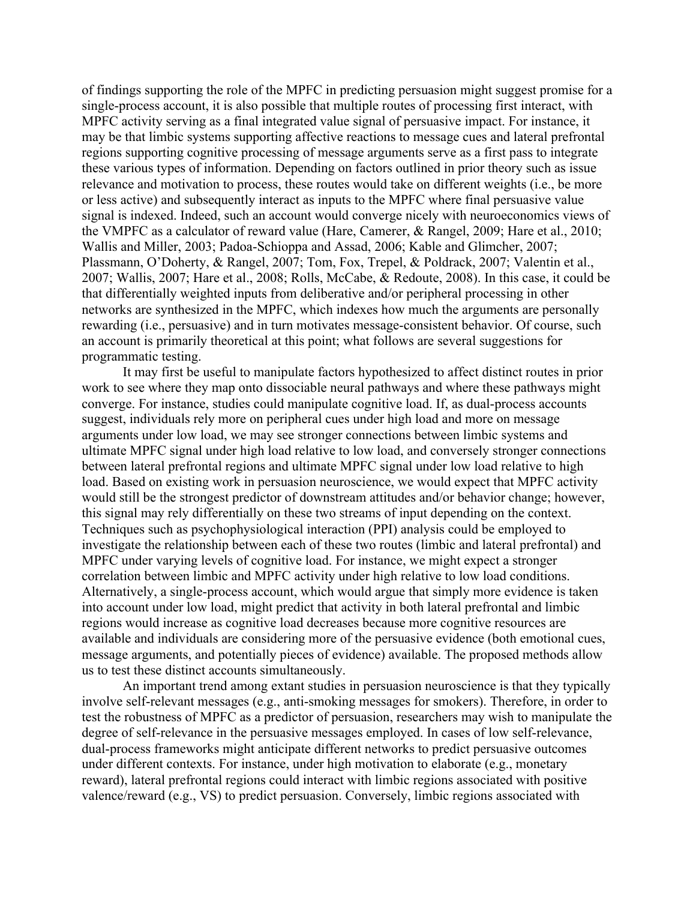of findings supporting the role of the MPFC in predicting persuasion might suggest promise for a single-process account, it is also possible that multiple routes of processing first interact, with MPFC activity serving as a final integrated value signal of persuasive impact. For instance, it may be that limbic systems supporting affective reactions to message cues and lateral prefrontal regions supporting cognitive processing of message arguments serve as a first pass to integrate these various types of information. Depending on factors outlined in prior theory such as issue relevance and motivation to process, these routes would take on different weights (i.e., be more or less active) and subsequently interact as inputs to the MPFC where final persuasive value signal is indexed. Indeed, such an account would converge nicely with neuroeconomics views of the VMPFC as a calculator of reward value (Hare, Camerer, & Rangel, 2009; Hare et al., 2010; Wallis and Miller, 2003; Padoa-Schioppa and Assad, 2006; Kable and Glimcher, 2007; Plassmann, O'Doherty, & Rangel, 2007; Tom, Fox, Trepel, & Poldrack, 2007; Valentin et al., 2007; Wallis, 2007; Hare et al., 2008; Rolls, McCabe, & Redoute, 2008). In this case, it could be that differentially weighted inputs from deliberative and/or peripheral processing in other networks are synthesized in the MPFC, which indexes how much the arguments are personally rewarding (i.e., persuasive) and in turn motivates message-consistent behavior. Of course, such an account is primarily theoretical at this point; what follows are several suggestions for programmatic testing.

It may first be useful to manipulate factors hypothesized to affect distinct routes in prior work to see where they map onto dissociable neural pathways and where these pathways might converge. For instance, studies could manipulate cognitive load. If, as dual-process accounts suggest, individuals rely more on peripheral cues under high load and more on message arguments under low load, we may see stronger connections between limbic systems and ultimate MPFC signal under high load relative to low load, and conversely stronger connections between lateral prefrontal regions and ultimate MPFC signal under low load relative to high load. Based on existing work in persuasion neuroscience, we would expect that MPFC activity would still be the strongest predictor of downstream attitudes and/or behavior change; however, this signal may rely differentially on these two streams of input depending on the context. Techniques such as psychophysiological interaction (PPI) analysis could be employed to investigate the relationship between each of these two routes (limbic and lateral prefrontal) and MPFC under varying levels of cognitive load. For instance, we might expect a stronger correlation between limbic and MPFC activity under high relative to low load conditions. Alternatively, a single-process account, which would argue that simply more evidence is taken into account under low load, might predict that activity in both lateral prefrontal and limbic regions would increase as cognitive load decreases because more cognitive resources are available and individuals are considering more of the persuasive evidence (both emotional cues, message arguments, and potentially pieces of evidence) available. The proposed methods allow us to test these distinct accounts simultaneously.

An important trend among extant studies in persuasion neuroscience is that they typically involve self-relevant messages (e.g., anti-smoking messages for smokers). Therefore, in order to test the robustness of MPFC as a predictor of persuasion, researchers may wish to manipulate the degree of self-relevance in the persuasive messages employed. In cases of low self-relevance, dual-process frameworks might anticipate different networks to predict persuasive outcomes under different contexts. For instance, under high motivation to elaborate (e.g., monetary reward), lateral prefrontal regions could interact with limbic regions associated with positive valence/reward (e.g., VS) to predict persuasion. Conversely, limbic regions associated with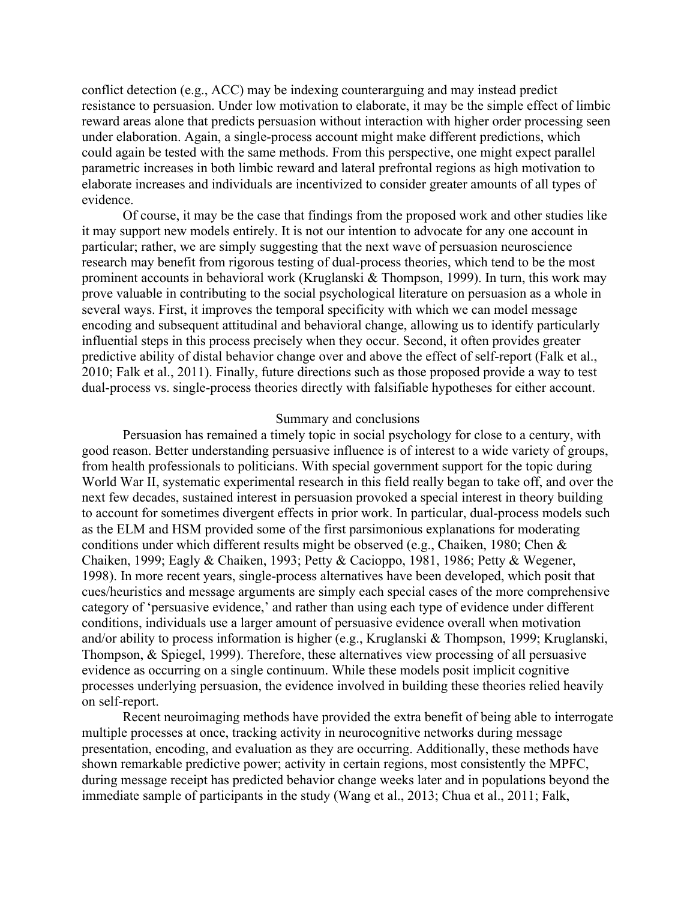conflict detection (e.g., ACC) may be indexing counterarguing and may instead predict resistance to persuasion. Under low motivation to elaborate, it may be the simple effect of limbic reward areas alone that predicts persuasion without interaction with higher order processing seen under elaboration. Again, a single-process account might make different predictions, which could again be tested with the same methods. From this perspective, one might expect parallel parametric increases in both limbic reward and lateral prefrontal regions as high motivation to elaborate increases and individuals are incentivized to consider greater amounts of all types of evidence.

Of course, it may be the case that findings from the proposed work and other studies like it may support new models entirely. It is not our intention to advocate for any one account in particular; rather, we are simply suggesting that the next wave of persuasion neuroscience research may benefit from rigorous testing of dual-process theories, which tend to be the most prominent accounts in behavioral work (Kruglanski & Thompson, 1999). In turn, this work may prove valuable in contributing to the social psychological literature on persuasion as a whole in several ways. First, it improves the temporal specificity with which we can model message encoding and subsequent attitudinal and behavioral change, allowing us to identify particularly influential steps in this process precisely when they occur. Second, it often provides greater predictive ability of distal behavior change over and above the effect of self-report (Falk et al., 2010; Falk et al., 2011). Finally, future directions such as those proposed provide a way to test dual-process vs. single-process theories directly with falsifiable hypotheses for either account.

#### Summary and conclusions

Persuasion has remained a timely topic in social psychology for close to a century, with good reason. Better understanding persuasive influence is of interest to a wide variety of groups, from health professionals to politicians. With special government support for the topic during World War II, systematic experimental research in this field really began to take off, and over the next few decades, sustained interest in persuasion provoked a special interest in theory building to account for sometimes divergent effects in prior work. In particular, dual-process models such as the ELM and HSM provided some of the first parsimonious explanations for moderating conditions under which different results might be observed (e.g., Chaiken, 1980; Chen & Chaiken, 1999; Eagly & Chaiken, 1993; Petty & Cacioppo, 1981, 1986; Petty & Wegener, 1998). In more recent years, single-process alternatives have been developed, which posit that cues/heuristics and message arguments are simply each special cases of the more comprehensive category of 'persuasive evidence,' and rather than using each type of evidence under different conditions, individuals use a larger amount of persuasive evidence overall when motivation and/or ability to process information is higher (e.g., Kruglanski & Thompson, 1999; Kruglanski, Thompson, & Spiegel, 1999). Therefore, these alternatives view processing of all persuasive evidence as occurring on a single continuum. While these models posit implicit cognitive processes underlying persuasion, the evidence involved in building these theories relied heavily on self-report.

Recent neuroimaging methods have provided the extra benefit of being able to interrogate multiple processes at once, tracking activity in neurocognitive networks during message presentation, encoding, and evaluation as they are occurring. Additionally, these methods have shown remarkable predictive power; activity in certain regions, most consistently the MPFC, during message receipt has predicted behavior change weeks later and in populations beyond the immediate sample of participants in the study (Wang et al., 2013; Chua et al., 2011; Falk,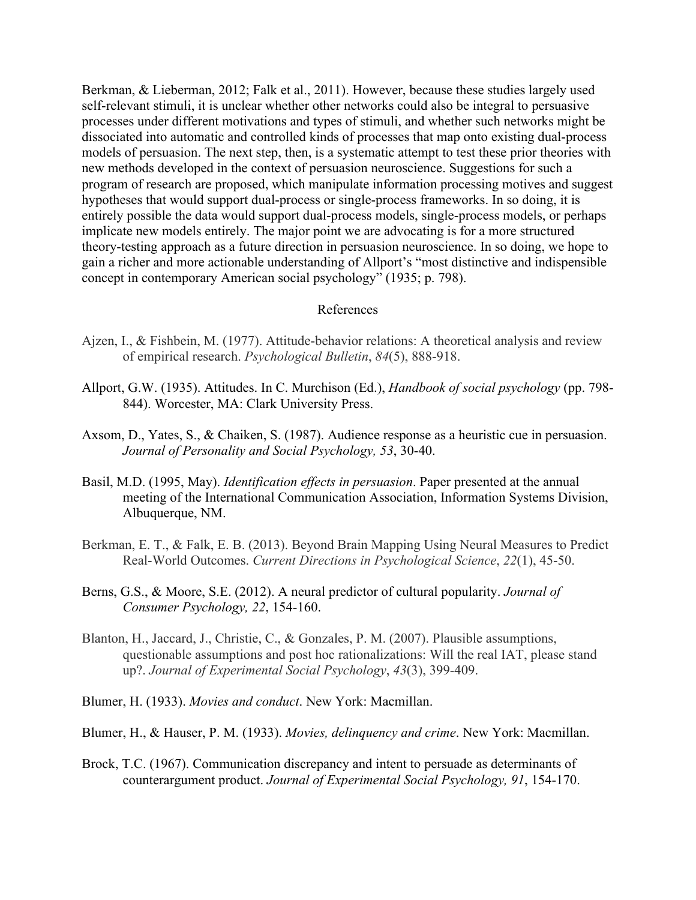Berkman, & Lieberman, 2012; Falk et al., 2011). However, because these studies largely used self-relevant stimuli, it is unclear whether other networks could also be integral to persuasive processes under different motivations and types of stimuli, and whether such networks might be dissociated into automatic and controlled kinds of processes that map onto existing dual-process models of persuasion. The next step, then, is a systematic attempt to test these prior theories with new methods developed in the context of persuasion neuroscience. Suggestions for such a program of research are proposed, which manipulate information processing motives and suggest hypotheses that would support dual-process or single-process frameworks. In so doing, it is entirely possible the data would support dual-process models, single-process models, or perhaps implicate new models entirely. The major point we are advocating is for a more structured theory-testing approach as a future direction in persuasion neuroscience. In so doing, we hope to gain a richer and more actionable understanding of Allport's "most distinctive and indispensible concept in contemporary American social psychology" (1935; p. 798).

# References

- Ajzen, I., & Fishbein, M. (1977). Attitude-behavior relations: A theoretical analysis and review of empirical research. *Psychological Bulletin*, *84*(5), 888-918.
- Allport, G.W. (1935). Attitudes. In C. Murchison (Ed.), *Handbook of social psychology* (pp. 798- 844). Worcester, MA: Clark University Press.
- Axsom, D., Yates, S., & Chaiken, S. (1987). Audience response as a heuristic cue in persuasion. *Journal of Personality and Social Psychology, 53*, 30-40.
- Basil, M.D. (1995, May). *Identification effects in persuasion*. Paper presented at the annual meeting of the International Communication Association, Information Systems Division, Albuquerque, NM.
- Berkman, E. T., & Falk, E. B. (2013). Beyond Brain Mapping Using Neural Measures to Predict Real-World Outcomes. *Current Directions in Psychological Science*, *22*(1), 45-50.
- Berns, G.S., & Moore, S.E. (2012). A neural predictor of cultural popularity. *Journal of Consumer Psychology, 22*, 154-160.
- Blanton, H., Jaccard, J., Christie, C., & Gonzales, P. M. (2007). Plausible assumptions, questionable assumptions and post hoc rationalizations: Will the real IAT, please stand up?. *Journal of Experimental Social Psychology*, *43*(3), 399-409.
- Blumer, H. (1933). *Movies and conduct*. New York: Macmillan.
- Blumer, H., & Hauser, P. M. (1933). *Movies, delinquency and crime*. New York: Macmillan.
- Brock, T.C. (1967). Communication discrepancy and intent to persuade as determinants of counterargument product. *Journal of Experimental Social Psychology, 91*, 154-170.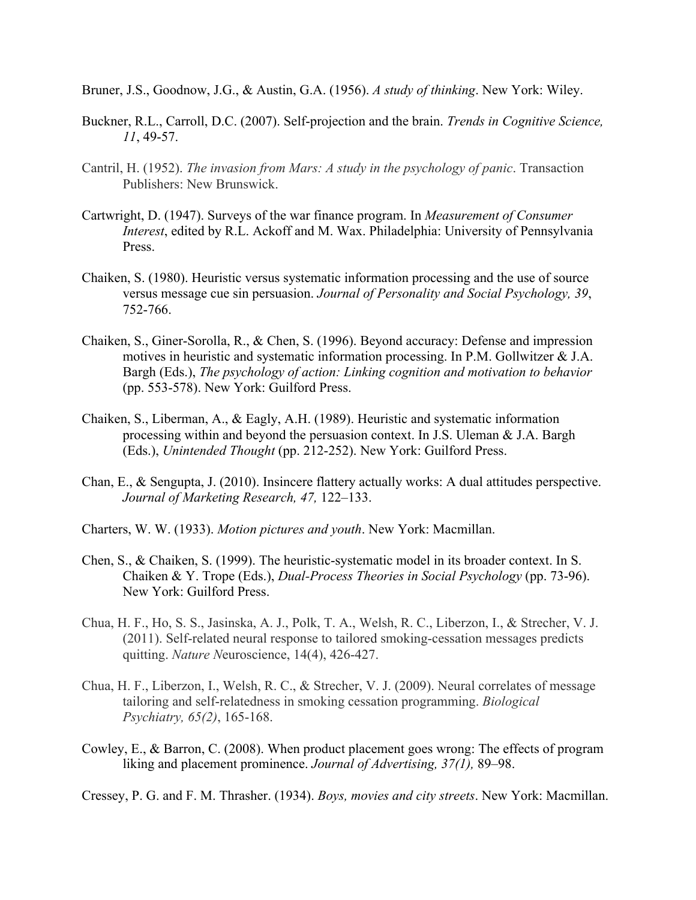Bruner, J.S., Goodnow, J.G., & Austin, G.A. (1956). *A study of thinking*. New York: Wiley.

- Buckner, R.L., Carroll, D.C. (2007). Self-projection and the brain. *Trends in Cognitive Science, 11*, 49-57.
- Cantril, H. (1952). *The invasion from Mars: A study in the psychology of panic*. Transaction Publishers: New Brunswick.
- Cartwright, D. (1947). Surveys of the war finance program. In *Measurement of Consumer Interest*, edited by R.L. Ackoff and M. Wax. Philadelphia: University of Pennsylvania Press.
- Chaiken, S. (1980). Heuristic versus systematic information processing and the use of source versus message cue sin persuasion. *Journal of Personality and Social Psychology, 39*, 752-766.
- Chaiken, S., Giner-Sorolla, R., & Chen, S. (1996). Beyond accuracy: Defense and impression motives in heuristic and systematic information processing. In P.M. Gollwitzer & J.A. Bargh (Eds.), *The psychology of action: Linking cognition and motivation to behavior* (pp. 553-578). New York: Guilford Press.
- Chaiken, S., Liberman, A., & Eagly, A.H. (1989). Heuristic and systematic information processing within and beyond the persuasion context. In J.S. Uleman & J.A. Bargh (Eds.), *Unintended Thought* (pp. 212-252). New York: Guilford Press.
- Chan, E., & Sengupta, J. (2010). Insincere flattery actually works: A dual attitudes perspective. *Journal of Marketing Research, 47,* 122–133.
- Charters, W. W. (1933). *Motion pictures and youth*. New York: Macmillan.
- Chen, S., & Chaiken, S. (1999). The heuristic-systematic model in its broader context. In S. Chaiken & Y. Trope (Eds.), *Dual-Process Theories in Social Psychology* (pp. 73-96). New York: Guilford Press.
- Chua, H. F., Ho, S. S., Jasinska, A. J., Polk, T. A., Welsh, R. C., Liberzon, I., & Strecher, V. J. (2011). Self-related neural response to tailored smoking-cessation messages predicts quitting. *Nature N*euroscience, 14(4), 426-427.
- Chua, H. F., Liberzon, I., Welsh, R. C., & Strecher, V. J. (2009). Neural correlates of message tailoring and self-relatedness in smoking cessation programming. *Biological Psychiatry, 65(2)*, 165-168.
- Cowley, E., & Barron, C. (2008). When product placement goes wrong: The effects of program liking and placement prominence. *Journal of Advertising, 37(1),* 89–98.

Cressey, P. G. and F. M. Thrasher. (1934). *Boys, movies and city streets*. New York: Macmillan.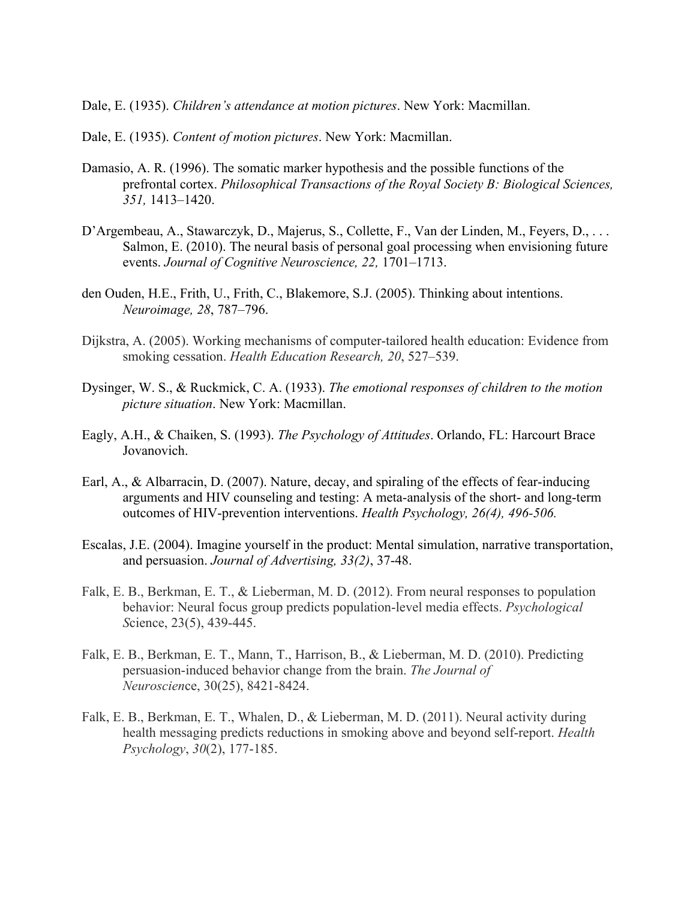Dale, E. (1935). *Children's attendance at motion pictures*. New York: Macmillan.

Dale, E. (1935). *Content of motion pictures*. New York: Macmillan.

- Damasio, A. R. (1996). The somatic marker hypothesis and the possible functions of the prefrontal cortex. *Philosophical Transactions of the Royal Society B: Biological Sciences, 351,* 1413–1420.
- D'Argembeau, A., Stawarczyk, D., Majerus, S., Collette, F., Van der Linden, M., Feyers, D., . . . Salmon, E. (2010). The neural basis of personal goal processing when envisioning future events. *Journal of Cognitive Neuroscience, 22,* 1701–1713.
- den Ouden, H.E., Frith, U., Frith, C., Blakemore, S.J. (2005). Thinking about intentions. *Neuroimage, 28*, 787–796.
- Dijkstra, A. (2005). Working mechanisms of computer-tailored health education: Evidence from smoking cessation. *Health Education Research, 20*, 527–539.
- Dysinger, W. S., & Ruckmick, C. A. (1933). *The emotional responses of children to the motion picture situation*. New York: Macmillan.
- Eagly, A.H., & Chaiken, S. (1993). *The Psychology of Attitudes*. Orlando, FL: Harcourt Brace Jovanovich.
- Earl, A., & Albarracin, D. (2007). Nature, decay, and spiraling of the effects of fear-inducing arguments and HIV counseling and testing: A meta-analysis of the short- and long-term outcomes of HIV-prevention interventions. *Health Psychology, 26(4), 496-506.*
- Escalas, J.E. (2004). Imagine yourself in the product: Mental simulation, narrative transportation, and persuasion. *Journal of Advertising, 33(2)*, 37-48.
- Falk, E. B., Berkman, E. T., & Lieberman, M. D. (2012). From neural responses to population behavior: Neural focus group predicts population-level media effects. *Psychological S*cience, 23(5), 439-445.
- Falk, E. B., Berkman, E. T., Mann, T., Harrison, B., & Lieberman, M. D. (2010). Predicting persuasion-induced behavior change from the brain. *The Journal of Neuroscien*ce, 30(25), 8421-8424.
- Falk, E. B., Berkman, E. T., Whalen, D., & Lieberman, M. D. (2011). Neural activity during health messaging predicts reductions in smoking above and beyond self-report. *Health Psychology*, *30*(2), 177-185.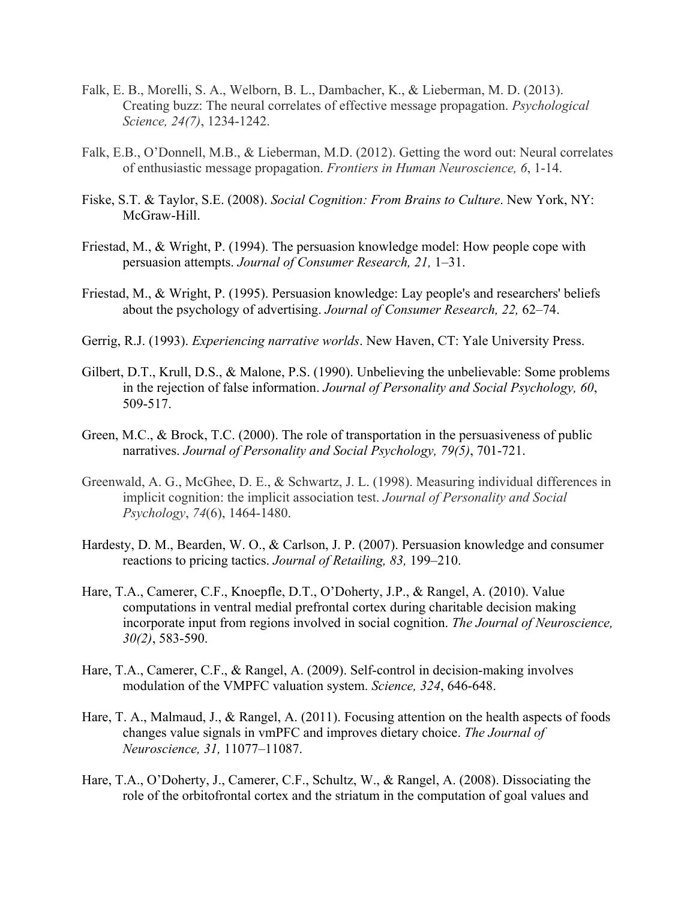- Falk, E. B., Morelli, S. A., Welborn, B. L., Dambacher, K., & Lieberman, M. D. (2013). Creating buzz: The neural correlates of effective message propagation. *Psychological Science, 24(7)*, 1234-1242.
- Falk, E.B., O'Donnell, M.B., & Lieberman, M.D. (2012). Getting the word out: Neural correlates of enthusiastic message propagation. *Frontiers in Human Neuroscience, 6*, 1-14.
- Fiske, S.T. & Taylor, S.E. (2008). *Social Cognition: From Brains to Culture*. New York, NY: McGraw-Hill.
- Friestad, M., & Wright, P. (1994). The persuasion knowledge model: How people cope with persuasion attempts. *Journal of Consumer Research, 21,* 1–31.
- Friestad, M., & Wright, P. (1995). Persuasion knowledge: Lay people's and researchers' beliefs about the psychology of advertising. *Journal of Consumer Research, 22,* 62–74.
- Gerrig, R.J. (1993). *Experiencing narrative worlds*. New Haven, CT: Yale University Press.
- Gilbert, D.T., Krull, D.S., & Malone, P.S. (1990). Unbelieving the unbelievable: Some problems in the rejection of false information. *Journal of Personality and Social Psychology, 60*, 509-517.
- Green, M.C., & Brock, T.C. (2000). The role of transportation in the persuasiveness of public narratives. *Journal of Personality and Social Psychology, 79(5)*, 701-721.
- Greenwald, A. G., McGhee, D. E., & Schwartz, J. L. (1998). Measuring individual differences in implicit cognition: the implicit association test. *Journal of Personality and Social Psychology*, *74*(6), 1464-1480.
- Hardesty, D. M., Bearden, W. O., & Carlson, J. P. (2007). Persuasion knowledge and consumer reactions to pricing tactics. *Journal of Retailing, 83,* 199–210.
- Hare, T.A., Camerer, C.F., Knoepfle, D.T., O'Doherty, J.P., & Rangel, A. (2010). Value computations in ventral medial prefrontal cortex during charitable decision making incorporate input from regions involved in social cognition. *The Journal of Neuroscience, 30(2)*, 583-590.
- Hare, T.A., Camerer, C.F., & Rangel, A. (2009). Self-control in decision-making involves modulation of the VMPFC valuation system. *Science, 324*, 646-648.
- Hare, T. A., Malmaud, J., & Rangel, A. (2011). Focusing attention on the health aspects of foods changes value signals in vmPFC and improves dietary choice. *The Journal of Neuroscience, 31,* 11077–11087.
- Hare, T.A., O'Doherty, J., Camerer, C.F., Schultz, W., & Rangel, A. (2008). Dissociating the role of the orbitofrontal cortex and the striatum in the computation of goal values and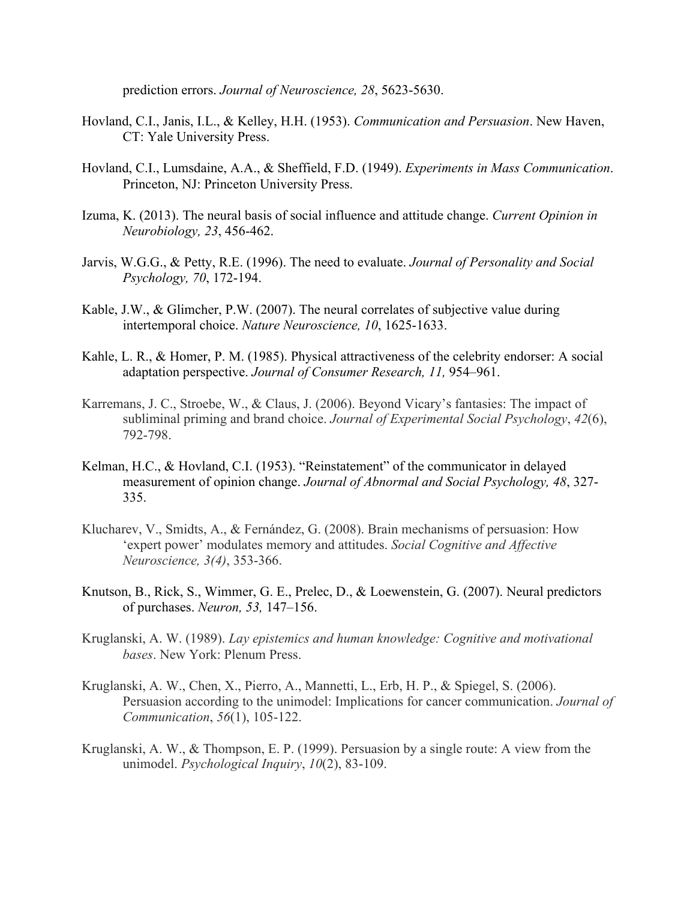prediction errors. *Journal of Neuroscience, 28*, 5623-5630.

- Hovland, C.I., Janis, I.L., & Kelley, H.H. (1953). *Communication and Persuasion*. New Haven, CT: Yale University Press.
- Hovland, C.I., Lumsdaine, A.A., & Sheffield, F.D. (1949). *Experiments in Mass Communication*. Princeton, NJ: Princeton University Press.
- Izuma, K. (2013). The neural basis of social influence and attitude change. *Current Opinion in Neurobiology, 23*, 456-462.
- Jarvis, W.G.G., & Petty, R.E. (1996). The need to evaluate. *Journal of Personality and Social Psychology, 70*, 172-194.
- Kable, J.W., & Glimcher, P.W. (2007). The neural correlates of subjective value during intertemporal choice. *Nature Neuroscience, 10*, 1625-1633.
- Kahle, L. R., & Homer, P. M. (1985). Physical attractiveness of the celebrity endorser: A social adaptation perspective. *Journal of Consumer Research, 11,* 954–961.
- Karremans, J. C., Stroebe, W., & Claus, J. (2006). Beyond Vicary's fantasies: The impact of subliminal priming and brand choice. *Journal of Experimental Social Psychology*, *42*(6), 792-798.
- Kelman, H.C., & Hovland, C.I. (1953). "Reinstatement" of the communicator in delayed measurement of opinion change. *Journal of Abnormal and Social Psychology, 48*, 327- 335.
- Klucharev, V., Smidts, A., & Fernández, G. (2008). Brain mechanisms of persuasion: How 'expert power' modulates memory and attitudes. *Social Cognitive and Affective Neuroscience, 3(4)*, 353-366.
- Knutson, B., Rick, S., Wimmer, G. E., Prelec, D., & Loewenstein, G. (2007). Neural predictors of purchases. *Neuron, 53,* 147–156.
- Kruglanski, A. W. (1989). *Lay epistemics and human knowledge: Cognitive and motivational bases*. New York: Plenum Press.
- Kruglanski, A. W., Chen, X., Pierro, A., Mannetti, L., Erb, H. P., & Spiegel, S. (2006). Persuasion according to the unimodel: Implications for cancer communication. *Journal of Communication*, *56*(1), 105-122.
- Kruglanski, A. W., & Thompson, E. P. (1999). Persuasion by a single route: A view from the unimodel. *Psychological Inquiry*, *10*(2), 83-109.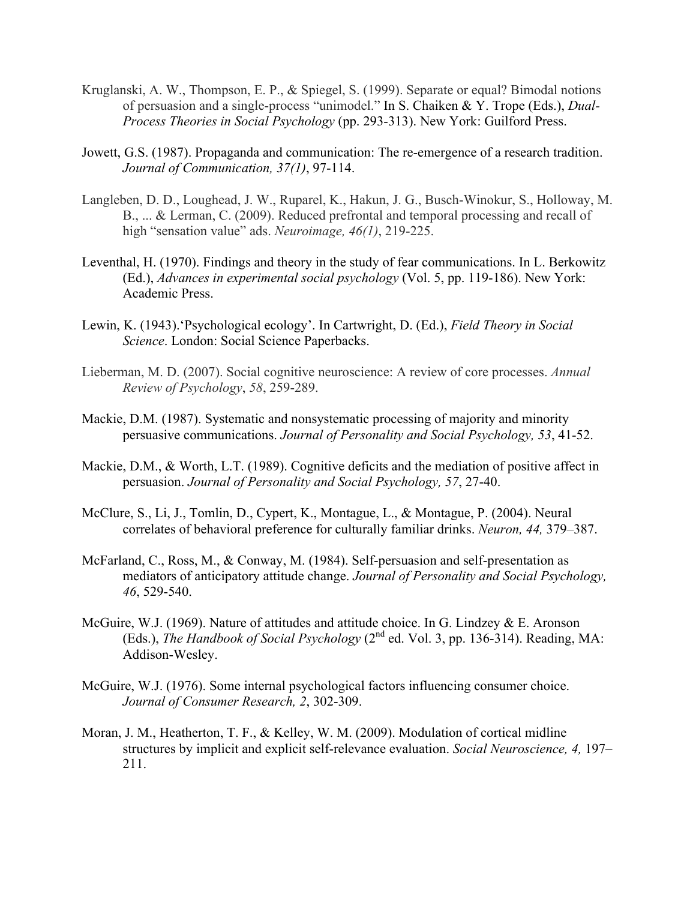- Kruglanski, A. W., Thompson, E. P., & Spiegel, S. (1999). Separate or equal? Bimodal notions of persuasion and a single-process "unimodel." In S. Chaiken & Y. Trope (Eds.), *Dual-Process Theories in Social Psychology* (pp. 293-313). New York: Guilford Press.
- Jowett, G.S. (1987). Propaganda and communication: The re-emergence of a research tradition. *Journal of Communication, 37(1)*, 97-114.
- Langleben, D. D., Loughead, J. W., Ruparel, K., Hakun, J. G., Busch-Winokur, S., Holloway, M. B., ... & Lerman, C. (2009). Reduced prefrontal and temporal processing and recall of high "sensation value" ads. *Neuroimage, 46(1)*, 219-225.
- Leventhal, H. (1970). Findings and theory in the study of fear communications. In L. Berkowitz (Ed.), *Advances in experimental social psychology* (Vol. 5, pp. 119-186). New York: Academic Press.
- Lewin, K. (1943).'Psychological ecology'. In Cartwright, D. (Ed.), *Field Theory in Social Science*. London: Social Science Paperbacks.
- Lieberman, M. D. (2007). Social cognitive neuroscience: A review of core processes. *Annual Review of Psychology*, *58*, 259-289.
- Mackie, D.M. (1987). Systematic and nonsystematic processing of majority and minority persuasive communications. *Journal of Personality and Social Psychology, 53*, 41-52.
- Mackie, D.M., & Worth, L.T. (1989). Cognitive deficits and the mediation of positive affect in persuasion. *Journal of Personality and Social Psychology, 57*, 27-40.
- McClure, S., Li, J., Tomlin, D., Cypert, K., Montague, L., & Montague, P. (2004). Neural correlates of behavioral preference for culturally familiar drinks. *Neuron, 44,* 379–387.
- McFarland, C., Ross, M., & Conway, M. (1984). Self-persuasion and self-presentation as mediators of anticipatory attitude change. *Journal of Personality and Social Psychology, 46*, 529-540.
- McGuire, W.J. (1969). Nature of attitudes and attitude choice. In G. Lindzey & E. Aronson (Eds.), *The Handbook of Social Psychology* (2nd ed. Vol. 3, pp. 136-314). Reading, MA: Addison-Wesley.
- McGuire, W.J. (1976). Some internal psychological factors influencing consumer choice. *Journal of Consumer Research, 2*, 302-309.
- Moran, J. M., Heatherton, T. F., & Kelley, W. M. (2009). Modulation of cortical midline structures by implicit and explicit self-relevance evaluation. *Social Neuroscience, 4,* 197– 211.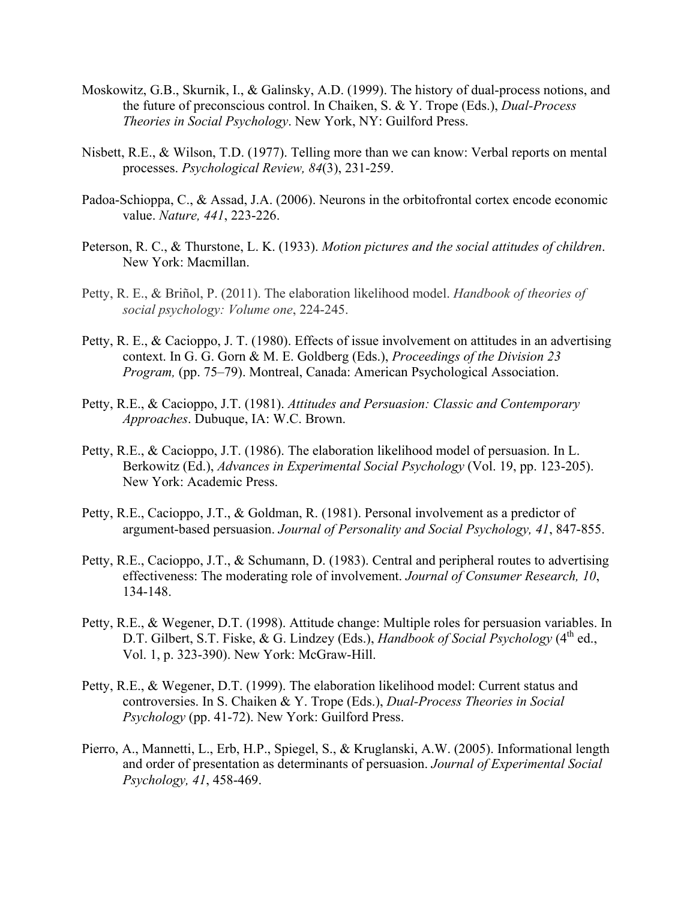- Moskowitz, G.B., Skurnik, I., & Galinsky, A.D. (1999). The history of dual-process notions, and the future of preconscious control. In Chaiken, S. & Y. Trope (Eds.), *Dual-Process Theories in Social Psychology*. New York, NY: Guilford Press.
- Nisbett, R.E., & Wilson, T.D. (1977). Telling more than we can know: Verbal reports on mental processes. *Psychological Review, 84*(3), 231-259.
- Padoa-Schioppa, C., & Assad, J.A. (2006). Neurons in the orbitofrontal cortex encode economic value. *Nature, 441*, 223-226.
- Peterson, R. C., & Thurstone, L. K. (1933). *Motion pictures and the social attitudes of children*. New York: Macmillan.
- Petty, R. E., & Briñol, P. (2011). The elaboration likelihood model. *Handbook of theories of social psychology: Volume one*, 224-245.
- Petty, R. E., & Cacioppo, J. T. (1980). Effects of issue involvement on attitudes in an advertising context. In G. G. Gorn & M. E. Goldberg (Eds.), *Proceedings of the Division 23 Program, (pp. 75–79).* Montreal, Canada: American Psychological Association.
- Petty, R.E., & Cacioppo, J.T. (1981). *Attitudes and Persuasion: Classic and Contemporary Approaches*. Dubuque, IA: W.C. Brown.
- Petty, R.E., & Cacioppo, J.T. (1986). The elaboration likelihood model of persuasion. In L. Berkowitz (Ed.), *Advances in Experimental Social Psychology* (Vol. 19, pp. 123-205). New York: Academic Press.
- Petty, R.E., Cacioppo, J.T., & Goldman, R. (1981). Personal involvement as a predictor of argument-based persuasion. *Journal of Personality and Social Psychology, 41*, 847-855.
- Petty, R.E., Cacioppo, J.T., & Schumann, D. (1983). Central and peripheral routes to advertising effectiveness: The moderating role of involvement. *Journal of Consumer Research, 10*, 134-148.
- Petty, R.E., & Wegener, D.T. (1998). Attitude change: Multiple roles for persuasion variables. In D.T. Gilbert, S.T. Fiske, & G. Lindzey (Eds.), *Handbook of Social Psychology* (4<sup>th</sup> ed., Vol. 1, p. 323-390). New York: McGraw-Hill.
- Petty, R.E., & Wegener, D.T. (1999). The elaboration likelihood model: Current status and controversies. In S. Chaiken & Y. Trope (Eds.), *Dual-Process Theories in Social Psychology* (pp. 41-72). New York: Guilford Press.
- Pierro, A., Mannetti, L., Erb, H.P., Spiegel, S., & Kruglanski, A.W. (2005). Informational length and order of presentation as determinants of persuasion. *Journal of Experimental Social Psychology, 41*, 458-469.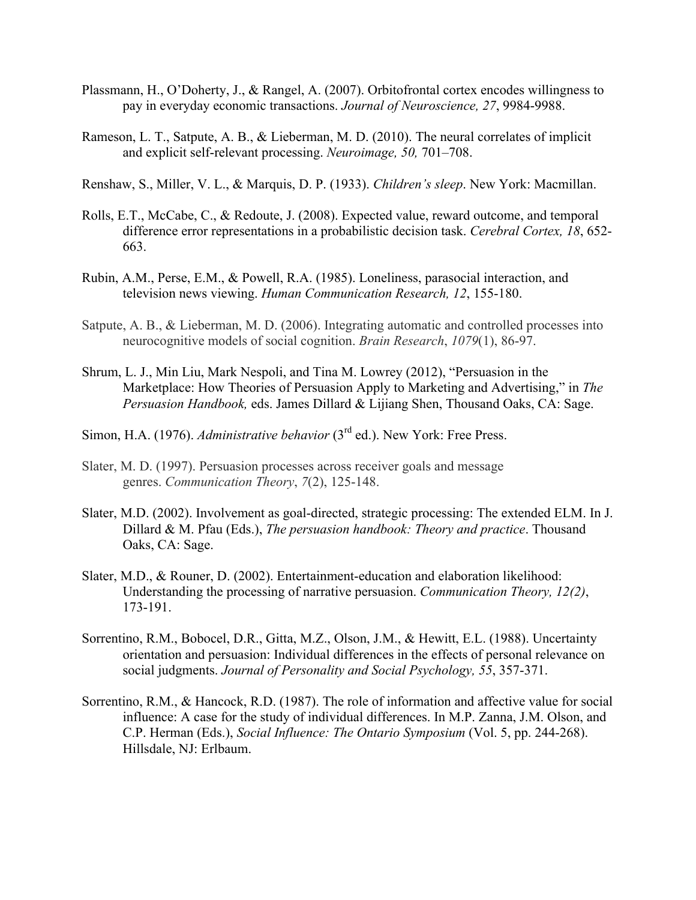- Plassmann, H., O'Doherty, J., & Rangel, A. (2007). Orbitofrontal cortex encodes willingness to pay in everyday economic transactions. *Journal of Neuroscience, 27*, 9984-9988.
- Rameson, L. T., Satpute, A. B., & Lieberman, M. D. (2010). The neural correlates of implicit and explicit self-relevant processing. *Neuroimage, 50,* 701–708.

Renshaw, S., Miller, V. L., & Marquis, D. P. (1933). *Children's sleep*. New York: Macmillan.

- Rolls, E.T., McCabe, C., & Redoute, J. (2008). Expected value, reward outcome, and temporal difference error representations in a probabilistic decision task. *Cerebral Cortex, 18*, 652- 663.
- Rubin, A.M., Perse, E.M., & Powell, R.A. (1985). Loneliness, parasocial interaction, and television news viewing. *Human Communication Research, 12*, 155-180.
- Satpute, A. B., & Lieberman, M. D. (2006). Integrating automatic and controlled processes into neurocognitive models of social cognition. *Brain Research*, *1079*(1), 86-97.
- Shrum, L. J., Min Liu, Mark Nespoli, and Tina M. Lowrey (2012), "Persuasion in the Marketplace: How Theories of Persuasion Apply to Marketing and Advertising," in *The Persuasion Handbook,* eds. James Dillard & Lijiang Shen, Thousand Oaks, CA: Sage.
- Simon, H.A. (1976). *Administrative behavior* (3<sup>rd</sup> ed.). New York: Free Press.
- Slater, M. D. (1997). Persuasion processes across receiver goals and message genres. *Communication Theory*, *7*(2), 125-148.
- Slater, M.D. (2002). Involvement as goal-directed, strategic processing: The extended ELM. In J. Dillard & M. Pfau (Eds.), *The persuasion handbook: Theory and practice*. Thousand Oaks, CA: Sage.
- Slater, M.D., & Rouner, D. (2002). Entertainment-education and elaboration likelihood: Understanding the processing of narrative persuasion. *Communication Theory, 12(2)*, 173-191.
- Sorrentino, R.M., Bobocel, D.R., Gitta, M.Z., Olson, J.M., & Hewitt, E.L. (1988). Uncertainty orientation and persuasion: Individual differences in the effects of personal relevance on social judgments. *Journal of Personality and Social Psychology, 55*, 357-371.
- Sorrentino, R.M., & Hancock, R.D. (1987). The role of information and affective value for social influence: A case for the study of individual differences. In M.P. Zanna, J.M. Olson, and C.P. Herman (Eds.), *Social Influence: The Ontario Symposium* (Vol. 5, pp. 244-268). Hillsdale, NJ: Erlbaum.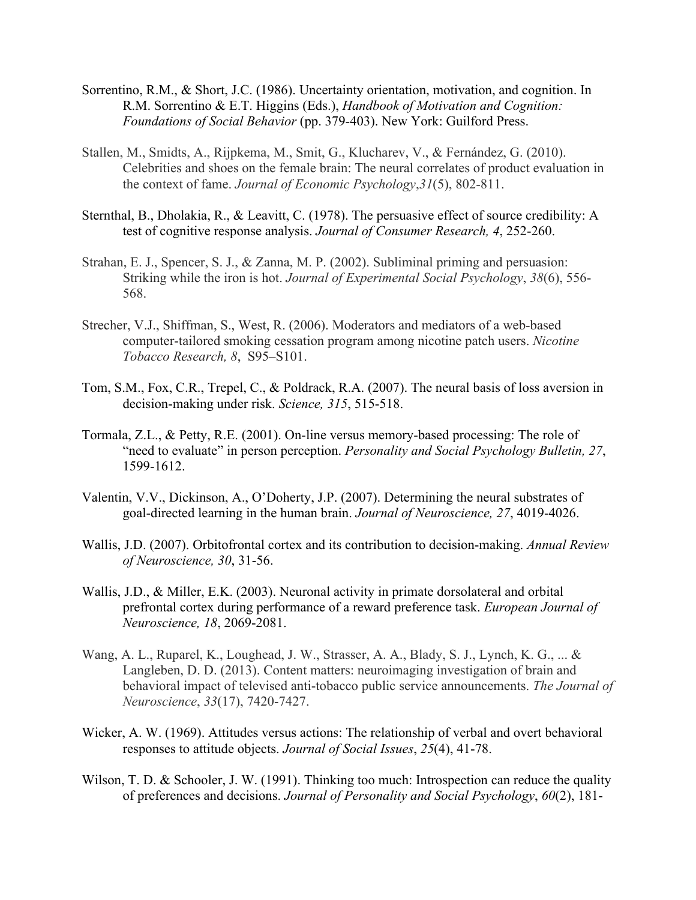- Sorrentino, R.M., & Short, J.C. (1986). Uncertainty orientation, motivation, and cognition. In R.M. Sorrentino & E.T. Higgins (Eds.), *Handbook of Motivation and Cognition: Foundations of Social Behavior* (pp. 379-403). New York: Guilford Press.
- Stallen, M., Smidts, A., Rijpkema, M., Smit, G., Klucharev, V., & Fernández, G. (2010). Celebrities and shoes on the female brain: The neural correlates of product evaluation in the context of fame. *Journal of Economic Psychology*,*31*(5), 802-811.
- Sternthal, B., Dholakia, R., & Leavitt, C. (1978). The persuasive effect of source credibility: A test of cognitive response analysis. *Journal of Consumer Research, 4*, 252-260.
- Strahan, E. J., Spencer, S. J., & Zanna, M. P. (2002). Subliminal priming and persuasion: Striking while the iron is hot. *Journal of Experimental Social Psychology*, *38*(6), 556- 568.
- Strecher, V.J., Shiffman, S., West, R. (2006). Moderators and mediators of a web-based computer-tailored smoking cessation program among nicotine patch users. *Nicotine Tobacco Research, 8*, S95–S101.
- Tom, S.M., Fox, C.R., Trepel, C., & Poldrack, R.A. (2007). The neural basis of loss aversion in decision-making under risk. *Science, 315*, 515-518.
- Tormala, Z.L., & Petty, R.E. (2001). On-line versus memory-based processing: The role of "need to evaluate" in person perception. *Personality and Social Psychology Bulletin, 27*, 1599-1612.
- Valentin, V.V., Dickinson, A., O'Doherty, J.P. (2007). Determining the neural substrates of goal-directed learning in the human brain. *Journal of Neuroscience, 27*, 4019-4026.
- Wallis, J.D. (2007). Orbitofrontal cortex and its contribution to decision-making. *Annual Review of Neuroscience, 30*, 31-56.
- Wallis, J.D., & Miller, E.K. (2003). Neuronal activity in primate dorsolateral and orbital prefrontal cortex during performance of a reward preference task. *European Journal of Neuroscience, 18*, 2069-2081.
- Wang, A. L., Ruparel, K., Loughead, J. W., Strasser, A. A., Blady, S. J., Lynch, K. G., ... & Langleben, D. D. (2013). Content matters: neuroimaging investigation of brain and behavioral impact of televised anti-tobacco public service announcements. *The Journal of Neuroscience*, *33*(17), 7420-7427.
- Wicker, A. W. (1969). Attitudes versus actions: The relationship of verbal and overt behavioral responses to attitude objects. *Journal of Social Issues*, *25*(4), 41-78.
- Wilson, T. D. & Schooler, J. W. (1991). Thinking too much: Introspection can reduce the quality of preferences and decisions. *Journal of Personality and Social Psychology*, *60*(2), 181-